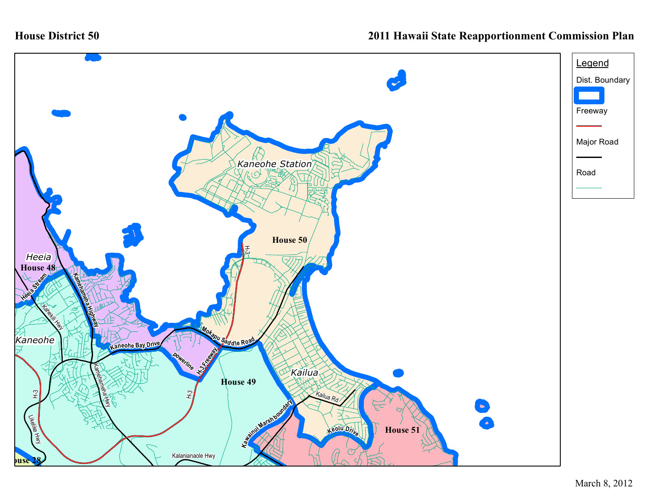

## **2011 Hawaii State Reapportionment Commission Plan**